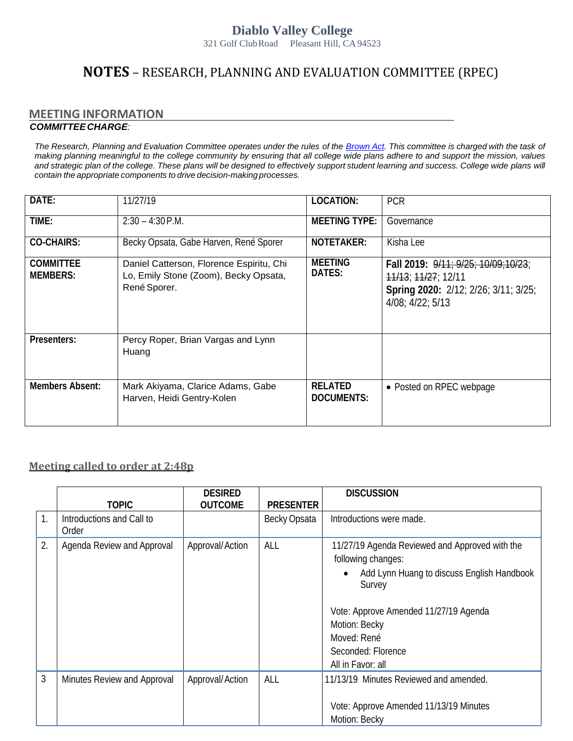## **Diablo Valley College**

321 Golf ClubRoad Pleasant Hill, CA 94523

## **NOTES** – RESEARCH, PLANNING AND EVALUATION COMMITTEE (RPEC)

## **MEETING INFORMATION**  *COMMITTEECHARGE:*

The Research, Planning and Evaluation Committee operates under the rules of the [Brown](http://ag.ca.gov/publications/2003_Intro_BrownAct.pdf) [Act.](http://ag.ca.gov/publications/2003_Intro_BrownAct.pdf) [Th](http://ag.ca.gov/publications/2003_Intro_BrownAct.pdf)is committee is charged with the task of *making planning meaningful to the college community by ensuring that all college wide plans adhere to and support the mission, values*  and strategic plan of the college. These plans will be designed to effectively support student learning and success. College wide plans will *contain the appropriate components to drive decision-making processes.*

| DATE:                               | 11/27/19                                                                                          | LOCATION:                           | <b>PCR</b>                                                                                                             |
|-------------------------------------|---------------------------------------------------------------------------------------------------|-------------------------------------|------------------------------------------------------------------------------------------------------------------------|
| TIME:                               | $2:30 - 4:30$ P.M.                                                                                | <b>MEETING TYPE:</b>                | Governance                                                                                                             |
| <b>CO-CHAIRS:</b>                   | Becky Opsata, Gabe Harven, René Sporer                                                            | NOTETAKER:                          | Kisha Lee                                                                                                              |
| <b>COMMITTEE</b><br><b>MEMBERS:</b> | Daniel Catterson, Florence Espiritu, Chi<br>Lo, Emily Stone (Zoom), Becky Opsata,<br>René Sporer. | <b>MEETING</b><br>DATES:            | Fall 2019: 9/11: 9/25: 10/09:10/23:<br>11/13; 11/27; 12/11<br>Spring 2020: 2/12; 2/26; 3/11; 3/25;<br>4/08; 4/22; 5/13 |
| Presenters:                         | Percy Roper, Brian Vargas and Lynn<br>Huang                                                       |                                     |                                                                                                                        |
| <b>Members Absent:</b>              | Mark Akiyama, Clarice Adams, Gabe<br>Harven, Heidi Gentry-Kolen                                   | <b>RELATED</b><br><b>DOCUMENTS:</b> | • Posted on RPEC webpage                                                                                               |

## **Meeting called to order at 2:48p**

|    |                                    | <b>DESIRED</b>  |                  | <b>DISCUSSION</b>                                                                                                                                                                                                                                |
|----|------------------------------------|-----------------|------------------|--------------------------------------------------------------------------------------------------------------------------------------------------------------------------------------------------------------------------------------------------|
|    | <b>TOPIC</b>                       | <b>OUTCOME</b>  | <b>PRESENTER</b> |                                                                                                                                                                                                                                                  |
| 1. | Introductions and Call to<br>Order |                 | Becky Opsata     | Introductions were made.                                                                                                                                                                                                                         |
| 2. | Agenda Review and Approval         | Approval/Action | ALL              | 11/27/19 Agenda Reviewed and Approved with the<br>following changes:<br>Add Lynn Huang to discuss English Handbook<br>Survey<br>Vote: Approve Amended 11/27/19 Agenda<br>Motion: Becky<br>Moved: René<br>Seconded: Florence<br>All in Favor: all |
| 3  | Minutes Review and Approval        | Approval/Action | ALL              | 11/13/19 Minutes Reviewed and amended.                                                                                                                                                                                                           |
|    |                                    |                 |                  | Vote: Approve Amended 11/13/19 Minutes<br>Motion: Becky                                                                                                                                                                                          |